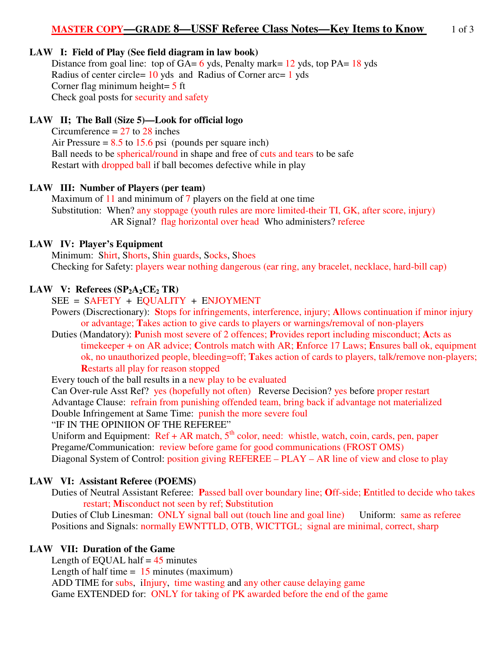## **LAW I: Field of Play (See field diagram in law book)**

Distance from goal line: top of  $GA = 6$  yds, Penalty mark= 12 yds, top PA= 18 yds Radius of center circle= 10 yds and Radius of Corner arc= 1 yds Corner flag minimum height= 5 ft Check goal posts for security and safety

### **LAW II; The Ball (Size 5)—Look for official logo**

Circumference  $= 27$  to 28 inches Air Pressure =  $8.5$  to 15.6 psi (pounds per square inch) Ball needs to be spherical/round in shape and free of cuts and tears to be safe Restart with dropped ball if ball becomes defective while in play

#### **LAW III: Number of Players (per team)**

Maximum of 11 and minimum of 7 players on the field at one time Substitution: When? any stoppage (youth rules are more limited-their TI, GK, after score, injury) AR Signal? flag horizontal over head Who administers? referee

#### **LAW IV: Player's Equipment**

Minimum: Shirt, Shorts, Shin guards, Socks, Shoes Checking for Safety: players wear nothing dangerous (ear ring, any bracelet, necklace, hard-bill cap)

#### **LAW V:** Referees  $(SP_2A_2CE_2TR)$

SEE = SAFETY + EQUALITY + ENJOYMENT

Powers (Discrectionary): **S**tops for infringements, interference, injury; **A**llows continuation if minor injury or advantage; **T**akes action to give cards to players or warnings/removal of non-players

Duties (Mandatory): **P**unish most severe of 2 offences; **P**rovides report including misconduct; **A**cts as timekeeper + on AR advice; **C**ontrols match with AR; **E**nforce 17 Laws; **E**nsures ball ok, equipment ok, no unauthorized people, bleeding=off; **T**akes action of cards to players, talk/remove non-players; **R**estarts all play for reason stopped

Every touch of the ball results in a new play to be evaluated

 Can Over-rule Asst Ref? yes (hopefully not often) Reverse Decision? yes before proper restart Advantage Clause: refrain from punishing offended team, bring back if advantage not materialized Double Infringement at Same Time: punish the more severe foul

"IF IN THE OPINIION OF THE REFEREE"

Uniform and Equipment:  $\text{Ref} + \text{AR}$  match,  $5^{\text{th}}$  color, need: whistle, watch, coin, cards, pen, paper Pregame/Communication: review before game for good communications (FROST OMS) Diagonal System of Control: position giving REFEREE – PLAY – AR line of view and close to play

### **LAW VI: Assistant Referee (POEMS)**

 Duties of Neutral Assistant Referee: **P**assed ball over boundary line; **O**ff-side; **E**ntitled to decide who takes restart; **M**isconduct not seen by ref; **S**ubstitution

Duties of Club Linesman: ONLY signal ball out (touch line and goal line) Uniform: same as referee Positions and Signals: normally EWNTTLD, OTB, WICTTGL; signal are minimal, correct, sharp

### **LAW VII: Duration of the Game**

Length of EQUAL half  $= 45$  minutes Length of half time  $= 15$  minutes (maximum) ADD TIME for subs, iInjury, time wasting and any other cause delaying game Game EXTENDED for: ONLY for taking of PK awarded before the end of the game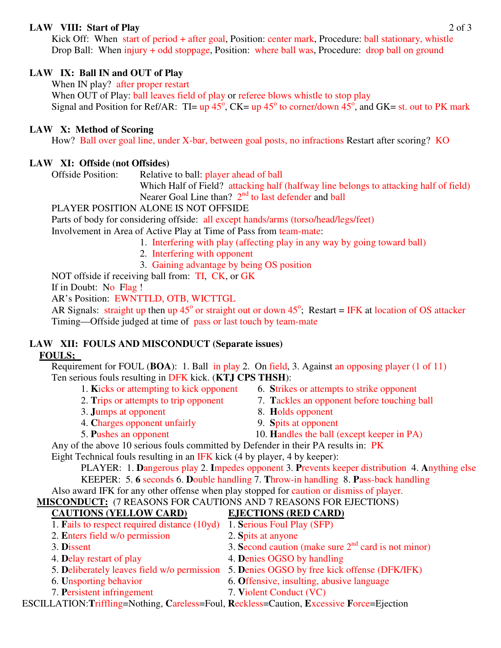## **LAW VIII: Start of Play** 2 of 3

Kick Off: When start of period + after goal, Position: center mark, Procedure: ball stationary, whistle Drop Ball: When injury + odd stoppage, Position: where ball was, Procedure: drop ball on ground

# **LAW IX: Ball IN and OUT of Play**

When IN play? after proper restart

When OUT of Play: ball leaves field of play or referee blows whistle to stop play Signal and Position for Ref/AR: TI=  $up\ 45^\circ$ , CK=  $up\ 45^\circ$  to corner/down  $45^\circ$ , and GK= st. out to PK mark

# **LAW X: Method of Scoring**

How? Ball over goal line, under X-bar, between goal posts, no infractions Restart after scoring? KO

# **LAW XI: Offside (not Offsides)**

Offside Position: Relative to ball: player ahead of ball

 Which Half of Field? attacking half (halfway line belongs to attacking half of field) Nearer Goal Line than?  $2<sup>nd</sup>$  to last defender and ball

# PLAYER POSITION ALONE IS NOT OFFSIDE

Parts of body for considering offside: all except hands/arms (torso/head/legs/feet)

Involvement in Area of Active Play at Time of Pass from team-mate:

- 1. Interfering with play (affecting play in any way by going toward ball)
	- 2. Interfering with opponent
	- 3. Gaining advantage by being OS position

NOT offside if receiving ball from: TI, CK, or GK

If in Doubt: No Flag !

AR's Position: EWNTTLD, OTB, WICTTGL

AR Signals: straight up then up  $45^{\circ}$  or straight out or down  $45^{\circ}$ ; Restart = IFK at location of OS attacker Timing—Offside judged at time of pass or last touch by team-mate

# **LAW XII: FOULS AND MISCONDUCT (Separate issues) FOULS;**

Requirement for FOUL (**BOA**): 1. Ball in play 2. On field, 3. Against an opposing player (1 of 11) Ten serious fouls resulting in DFK kick. (**KTJ CPS THSH**):

- 1. **K**icks or attempting to kick opponent 6. **S**trikes or attempts to strike opponent
- 
- 3. **J**umps at opponent 8. **H**olds opponent
- 4. **C**harges opponent unfairly 9. **S**pits at opponent
- 
- 
- 2. **T**rips or attempts to trip opponent 7. **T**ackles an opponent before touching ball
	-
	-
- 5. **P**ushes an opponent 10. **H**andles the ball (except keeper in PA)

Any of the above 10 serious fouls committed by Defender in their PA results in: PK

Eight Technical fouls resulting in an IFK kick (4 by player, 4 by keeper):

 PLAYER: 1. **D**angerous play 2. **I**mpedes opponent 3. **P**revents keeper distribution 4. **A**nything else KEEPER: 5. **6** seconds 6. **D**ouble handling 7. **T**hrow-in handling 8. **P**ass-back handling

Also award IFK for any other offense when play stopped for caution or dismiss of player.

# **MISCONDUCT:** (7 REASONS FOR CAUTIONS AND 7 REASONS FOR EJECTIONS)

# **CAUTIONS (YELLOW CARD) EJECTIONS (RED CARD)**

- 1. **F**ails to respect required distance (10yd) 1. **S**erious Foul Play (SFP)
- 2. **E**nters field w/o permission 2. **S**pits at anyone
- 3. **D**issent  $\frac{1}{3}$  Second caution (make sure  $2^{nd}$  card is not minor)
- 4. **Delay restart of play** 4. **Denies OGSO by handling**
- 5. **D**eliberately leaves field w/o permission 5. **D**enies OGSO by free kick offense (DFK/IFK)
- 
- 7. **P**ersistent infringement 7. **V**iolent Conduct (VC)
- 
- 
- 6. **U**nsporting behavior 6. **O**ffensive, insulting, abusive language
	-

ESCILLATION:**T**riffling=Nothing, **C**areless=Foul, **R**eckless=Caution, **E**xcessive **F**orce=Ejection